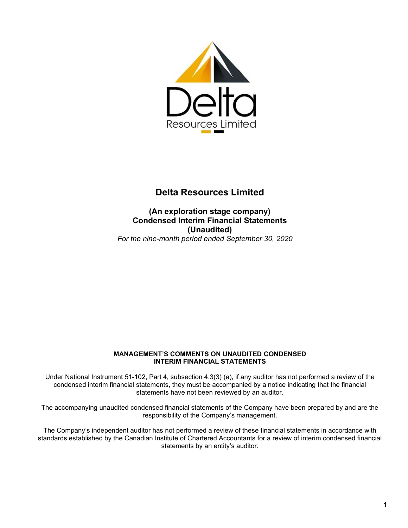

(An exploration stage company) Condensed Interim Financial Statements (Unaudited) For the nine-month period ended September 30, 2020

### MANAGEMENT'S COMMENTS ON UNAUDITED CONDENSED INTERIM FINANCIAL STATEMENTS

Under National Instrument 51-102, Part 4, subsection 4.3(3) (a), if any auditor has not performed a review of the condensed interim financial statements, they must be accompanied by a notice indicating that the financial statements have not been reviewed by an auditor.

The accompanying unaudited condensed financial statements of the Company have been prepared by and are the responsibility of the Company's management.

The Company's independent auditor has not performed a review of these financial statements in accordance with standards established by the Canadian Institute of Chartered Accountants for a review of interim condensed financial statements by an entity's auditor.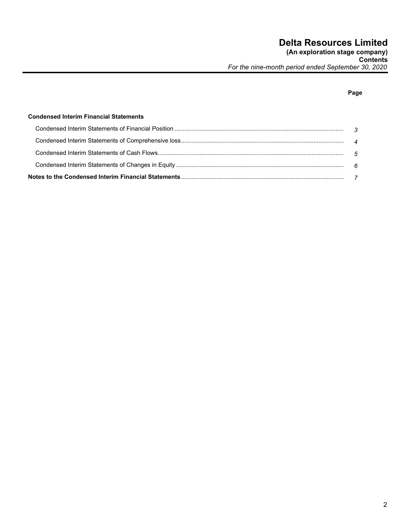**Contents** and the contents of the contents of the contents of the contents of the contents of the contents of the contents of the contents of the contents of the contents of the contents of the contents of the contents of For the nine-month period ended September 30, 2020

# na dia 1992 nope 2012 nope 2012 nope 2012 nope 2012 nope 2012 nope 2012 nope 2012 nope 2012 nope 2013 nope 201

# Condensed Interim Financial Statements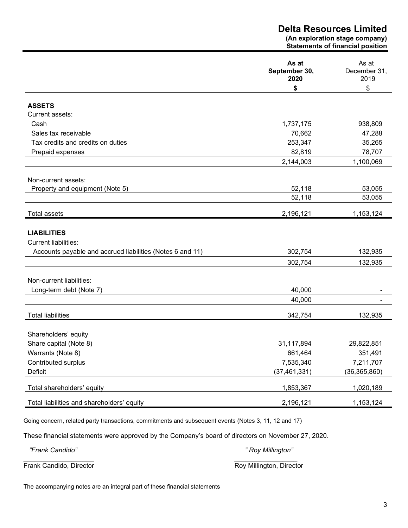(An exploration stage company) Statements of financial position

|                                                           | As at<br>September 30,<br>2020 | As at<br>December 31,<br>2019 |
|-----------------------------------------------------------|--------------------------------|-------------------------------|
|                                                           | \$                             | \$                            |
| <b>ASSETS</b>                                             |                                |                               |
| Current assets:                                           |                                |                               |
| Cash                                                      | 1,737,175                      | 938,809                       |
| Sales tax receivable                                      | 70,662                         | 47,288                        |
| Tax credits and credits on duties                         | 253,347                        | 35,265                        |
| Prepaid expenses                                          | 82,819                         | 78,707                        |
|                                                           | 2,144,003                      | 1,100,069                     |
|                                                           |                                |                               |
| Non-current assets:                                       |                                |                               |
| Property and equipment (Note 5)                           | 52,118                         | 53,055                        |
|                                                           | 52,118                         | 53,055                        |
| <b>Total assets</b>                                       | 2,196,121                      | 1,153,124                     |
|                                                           |                                |                               |
| <b>LIABILITIES</b>                                        |                                |                               |
| <b>Current liabilities:</b>                               |                                |                               |
| Accounts payable and accrued liabilities (Notes 6 and 11) | 302,754                        | 132,935                       |
|                                                           | 302,754                        | 132,935                       |
|                                                           |                                |                               |
| Non-current liabilities:                                  |                                |                               |
| Long-term debt (Note 7)                                   | 40,000                         |                               |
|                                                           | 40,000                         |                               |
| <b>Total liabilities</b>                                  | 342,754                        | 132,935                       |
|                                                           |                                |                               |
| Shareholders' equity                                      |                                |                               |
| Share capital (Note 8)                                    | 31,117,894                     | 29,822,851                    |
| Warrants (Note 8)                                         | 661,464                        | 351,491                       |
| Contributed surplus                                       | 7,535,340                      | 7,211,707                     |
| Deficit                                                   | (37, 461, 331)                 | (36, 365, 860)                |
| Total shareholders' equity                                | 1,853,367                      | 1,020,189                     |
| Total liabilities and shareholders' equity                | 2,196,121                      | 1,153,124                     |

Going concern, related party transactions, commitments and subsequent events (Notes 3, 11, 12 and 17)

These financial statements were approved by the Company's board of directors on November 27, 2020.

 "Frank Candido" " Roy Millington" Frank Candido, Director **Roy Millington, Director** Roy Millington, Director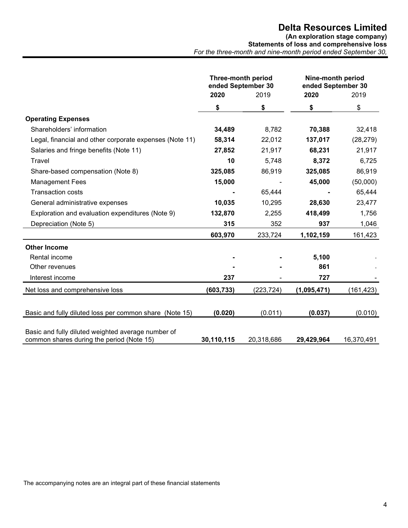(An exploration stage company)

Statements of loss and comprehensive loss For the three-month and nine-month period ended September 30,

|                                                                                                 | <b>Three-month period</b><br>ended September 30 |            | Nine-month period<br>ended September 30 |            |
|-------------------------------------------------------------------------------------------------|-------------------------------------------------|------------|-----------------------------------------|------------|
|                                                                                                 | 2020<br>2019                                    |            | 2020                                    |            |
|                                                                                                 | \$                                              | \$         | \$                                      | \$         |
| <b>Operating Expenses</b>                                                                       |                                                 |            |                                         |            |
| Shareholders' information                                                                       | 34,489                                          | 8,782      | 70,388                                  | 32,418     |
| Legal, financial and other corporate expenses (Note 11)                                         | 58,314                                          | 22,012     | 137,017                                 | (28, 279)  |
| Salaries and fringe benefits (Note 11)                                                          | 27,852                                          | 21,917     | 68,231                                  | 21,917     |
| Travel                                                                                          | 10                                              | 5,748      | 8,372                                   | 6,725      |
| Share-based compensation (Note 8)                                                               | 325,085                                         | 86,919     | 325,085                                 | 86,919     |
| <b>Management Fees</b>                                                                          | 15,000                                          |            | 45,000                                  | (50,000)   |
| <b>Transaction costs</b>                                                                        |                                                 | 65,444     |                                         | 65,444     |
| General administrative expenses                                                                 | 10,035                                          | 10,295     | 28,630                                  | 23,477     |
| Exploration and evaluation expenditures (Note 9)                                                | 132,870                                         | 2,255      | 418,499                                 | 1,756      |
| Depreciation (Note 5)                                                                           | 315                                             | 352        | 937                                     | 1,046      |
|                                                                                                 | 603,970                                         | 233,724    | 1,102,159                               | 161,423    |
| <b>Other Income</b>                                                                             |                                                 |            |                                         |            |
| Rental income                                                                                   |                                                 |            | 5,100                                   |            |
| Other revenues                                                                                  |                                                 |            | 861                                     |            |
| Interest income                                                                                 | 237                                             |            | 727                                     |            |
| Net loss and comprehensive loss                                                                 | (603, 733)                                      | (223, 724) | (1,095,471)                             | (161,423)  |
|                                                                                                 |                                                 |            |                                         |            |
| Basic and fully diluted loss per common share (Note 15)                                         | (0.020)                                         | (0.011)    | (0.037)                                 | (0.010)    |
|                                                                                                 |                                                 |            |                                         |            |
| Basic and fully diluted weighted average number of<br>common shares during the period (Note 15) | 30,110,115                                      | 20,318,686 | 29,429,964                              | 16,370,491 |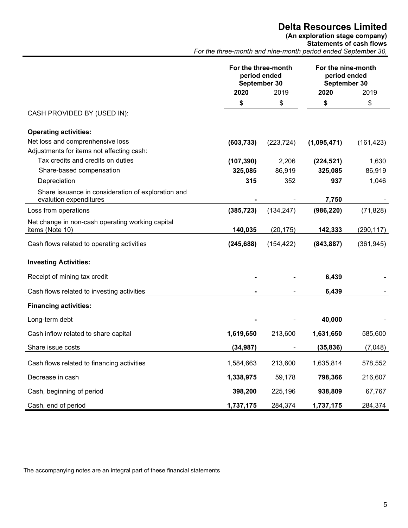(An exploration stage company)

Statements of cash flows

For the three-month and nine-month period ended September 30,

|                                                                              | For the three-month<br>period ended<br>September 30 |            | For the nine-month<br>period ended<br>September 30 |            |
|------------------------------------------------------------------------------|-----------------------------------------------------|------------|----------------------------------------------------|------------|
|                                                                              | 2020                                                | 2019       | 2020                                               | 2019       |
|                                                                              | \$                                                  | \$         | \$                                                 | \$         |
| CASH PROVIDED BY (USED IN):                                                  |                                                     |            |                                                    |            |
| <b>Operating activities:</b>                                                 |                                                     |            |                                                    |            |
| Net loss and comprenhensive loss                                             | (603, 733)                                          | (223, 724) | (1,095,471)                                        | (161, 423) |
| Adjustments for items not affecting cash:                                    |                                                     |            |                                                    |            |
| Tax credits and credits on duties                                            | (107, 390)                                          | 2,206      | (224, 521)                                         | 1,630      |
| Share-based compensation                                                     | 325,085                                             | 86,919     | 325,085                                            | 86,919     |
| Depreciation                                                                 | 315                                                 | 352        | 937                                                | 1,046      |
| Share issuance in consideration of exploration and<br>evalution expenditures |                                                     |            | 7,750                                              |            |
| Loss from operations                                                         | (385, 723)                                          | (134, 247) | (986, 220)                                         | (71, 828)  |
| Net change in non-cash operating working capital<br>items (Note 10)          | 140,035                                             | (20, 175)  | 142,333                                            | (290, 117) |
| Cash flows related to operating activities                                   | (245, 688)                                          | (154, 422) | (843, 887)                                         | (361, 945) |
| <b>Investing Activities:</b>                                                 |                                                     |            |                                                    |            |
| Receipt of mining tax credit                                                 |                                                     |            | 6,439                                              |            |
| Cash flows related to investing activities                                   |                                                     |            | 6,439                                              |            |
| <b>Financing activities:</b>                                                 |                                                     |            |                                                    |            |
| Long-term debt                                                               |                                                     |            | 40,000                                             |            |
| Cash inflow related to share capital                                         | 1,619,650                                           | 213,600    | 1,631,650                                          | 585,600    |
| Share issue costs                                                            | (34, 987)                                           |            | (35, 836)                                          | (7,048)    |
| Cash flows related to financing activities                                   | 1,584,663                                           | 213,600    | 1,635,814                                          | 578,552    |
| Decrease in cash                                                             | 1,338,975                                           | 59,178     | 798,366                                            | 216,607    |
| Cash, beginning of period                                                    | 398,200                                             | 225,196    | 938,809                                            | 67,767     |
| Cash, end of period                                                          | 1,737,175                                           | 284,374    | 1,737,175                                          | 284,374    |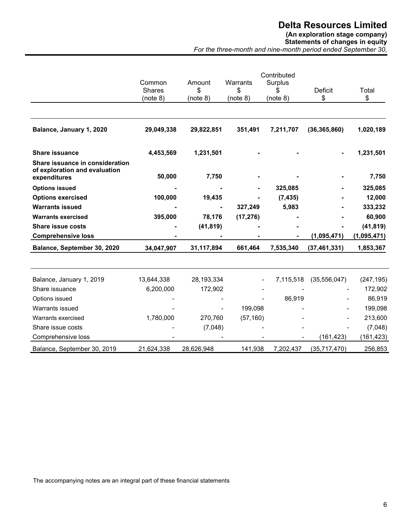# (An exploration stage company)

Statements of changes in equity For the three-month and nine-month period ended September 30,

|                                                                                  | Contributed                         |                          |                            |                     |                      |             |
|----------------------------------------------------------------------------------|-------------------------------------|--------------------------|----------------------------|---------------------|----------------------|-------------|
|                                                                                  | Common<br><b>Shares</b><br>(note 8) | Amount<br>\$<br>(note 8) | Warrants<br>\$<br>(note 8) | Surplus<br>(note 8) | <b>Deficit</b><br>\$ | Total<br>\$ |
|                                                                                  |                                     |                          |                            |                     |                      |             |
| Balance, January 1, 2020                                                         | 29,049,338                          | 29,822,851               | 351,491                    | 7,211,707           | (36, 365, 860)       | 1,020,189   |
| <b>Share issuance</b>                                                            | 4,453,569                           | 1,231,501                |                            |                     |                      | 1,231,501   |
| Share issuance in consideration<br>of exploration and evaluation<br>expenditures | 50,000                              | 7,750                    |                            |                     |                      | 7,750       |
| <b>Options issued</b>                                                            |                                     |                          |                            | 325,085             |                      | 325,085     |
| <b>Options exercised</b>                                                         | 100,000                             | 19,435                   |                            | (7, 435)            |                      | 12,000      |
| <b>Warrants issued</b>                                                           |                                     |                          | 327,249                    | 5,983               |                      | 333,232     |
| <b>Warrants exercised</b>                                                        | 395,000                             | 78,176                   | (17, 276)                  |                     |                      | 60,900      |
| <b>Share issue costs</b>                                                         |                                     | (41, 819)                |                            |                     |                      | (41, 819)   |
| <b>Comprehensive loss</b>                                                        |                                     |                          |                            |                     | (1,095,471)          | (1,095,471) |
| Balance, September 30, 2020                                                      | 34,047,907                          | 31,117,894               | 661,464                    | 7,535,340           | (37, 461, 331)       | 1,853,367   |
| Balance, January 1, 2019                                                         | 13,644,338                          | 28,193,334               |                            | 7,115,518           | (35,556,047)         | (247, 195)  |
| Share issuance                                                                   | 6,200,000                           | 172,902                  |                            |                     |                      | 172,902     |
| Options issued                                                                   |                                     |                          |                            | 86,919              |                      | 86,919      |
| Warrants issued                                                                  |                                     |                          | 199,098                    |                     |                      | 199,098     |
| Warrants exercised                                                               | 1,780,000                           | 270,760                  | (57, 160)                  |                     |                      | 213,600     |
| Share issue costs                                                                |                                     | (7,048)                  |                            |                     |                      | (7,048)     |
| Comprehensive loss                                                               |                                     |                          |                            |                     | (161, 423)           | (161, 423)  |
| Balance, September 30, 2019                                                      | 21,624,338                          | 28,626,948               | 141,938                    | 7,202,437           | (35,717,470)         | 256,853     |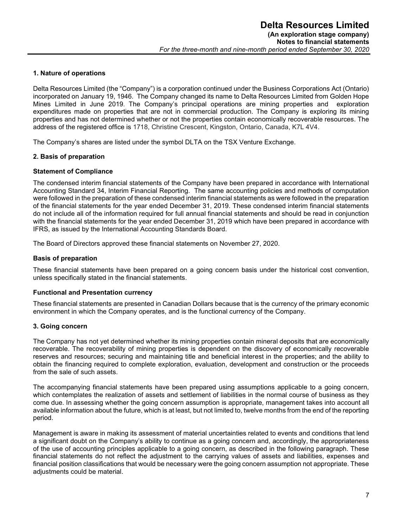#### 1. Nature of operations

Delta Resources Limited (the "Company") is a corporation continued under the Business Corporations Act (Ontario) incorporated on January 19, 1946. The Company changed its name to Delta Resources Limited from Golden Hope Mines Limited in June 2019. The Company's principal operations are mining properties and exploration expenditures made on properties that are not in commercial production. The Company is exploring its mining properties and has not determined whether or not the properties contain economically recoverable resources. The address of the registered office is 1718, Christine Crescent, Kingston, Ontario, Canada, K7L 4V4.

The Company's shares are listed under the symbol DLTA on the TSX Venture Exchange.

### 2. Basis of preparation

### Statement of Compliance

The condensed interim financial statements of the Company have been prepared in accordance with International Accounting Standard 34, Interim Financial Reporting. The same accounting policies and methods of computation were followed in the preparation of these condensed interim financial statements as were followed in the preparation of the financial statements for the year ended December 31, 2019. These condensed interim financial statements do not include all of the information required for full annual financial statements and should be read in conjunction with the financial statements for the year ended December 31, 2019 which have been prepared in accordance with IFRS, as issued by the International Accounting Standards Board.

The Board of Directors approved these financial statements on November 27, 2020.

### Basis of preparation

These financial statements have been prepared on a going concern basis under the historical cost convention, unless specifically stated in the financial statements.

#### Functional and Presentation currency

These financial statements are presented in Canadian Dollars because that is the currency of the primary economic environment in which the Company operates, and is the functional currency of the Company.

# 3. Going concern

The Company has not yet determined whether its mining properties contain mineral deposits that are economically recoverable. The recoverability of mining properties is dependent on the discovery of economically recoverable reserves and resources; securing and maintaining title and beneficial interest in the properties; and the ability to obtain the financing required to complete exploration, evaluation, development and construction or the proceeds from the sale of such assets.

The accompanying financial statements have been prepared using assumptions applicable to a going concern, which contemplates the realization of assets and settlement of liabilities in the normal course of business as they come due. In assessing whether the going concern assumption is appropriate, management takes into account all available information about the future, which is at least, but not limited to, twelve months from the end of the reporting period.

Management is aware in making its assessment of material uncertainties related to events and conditions that lend a significant doubt on the Company's ability to continue as a going concern and, accordingly, the appropriateness of the use of accounting principles applicable to a going concern, as described in the following paragraph. These financial statements do not reflect the adjustment to the carrying values of assets and liabilities, expenses and financial position classifications that would be necessary were the going concern assumption not appropriate. These adiustments could be material.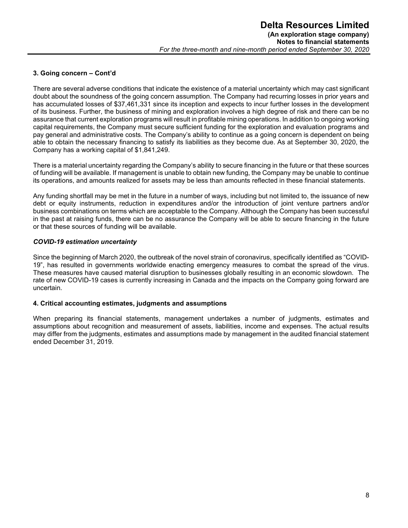# 3. Going concern – Cont'd

There are several adverse conditions that indicate the existence of a material uncertainty which may cast significant doubt about the soundness of the going concern assumption. The Company had recurring losses in prior years and has accumulated losses of \$37,461,331 since its inception and expects to incur further losses in the development of its business. Further, the business of mining and exploration involves a high degree of risk and there can be no assurance that current exploration programs will result in profitable mining operations. In addition to ongoing working capital requirements, the Company must secure sufficient funding for the exploration and evaluation programs and pay general and administrative costs. The Company's ability to continue as a going concern is dependent on being able to obtain the necessary financing to satisfy its liabilities as they become due. As at September 30, 2020, the Company has a working capital of \$1,841,249.

There is a material uncertainty regarding the Company's ability to secure financing in the future or that these sources of funding will be available. If management is unable to obtain new funding, the Company may be unable to continue its operations, and amounts realized for assets may be less than amounts reflected in these financial statements.

Any funding shortfall may be met in the future in a number of ways, including but not limited to, the issuance of new debt or equity instruments, reduction in expenditures and/or the introduction of joint venture partners and/or business combinations on terms which are acceptable to the Company. Although the Company has been successful in the past at raising funds, there can be no assurance the Company will be able to secure financing in the future or that these sources of funding will be available.

# COVID-19 estimation uncertainty

Since the beginning of March 2020, the outbreak of the novel strain of coronavirus, specifically identified as "COVID-19", has resulted in governments worldwide enacting emergency measures to combat the spread of the virus. These measures have caused material disruption to businesses globally resulting in an economic slowdown. The rate of new COVID-19 cases is currently increasing in Canada and the impacts on the Company going forward are uncertain.

# 4. Critical accounting estimates, judgments and assumptions

When preparing its financial statements, management undertakes a number of judgments, estimates and assumptions about recognition and measurement of assets, liabilities, income and expenses. The actual results may differ from the judgments, estimates and assumptions made by management in the audited financial statement ended December 31, 2019.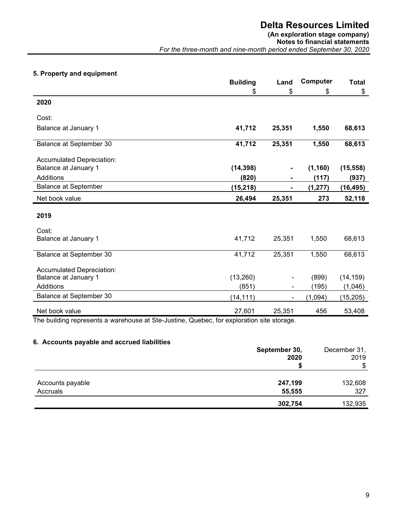# (An exploration stage company)

Notes to financial statements

For the three-month and nine-month period ended September 30, 2020

# 5. Property and equipment

|                             | <b>Building</b> | Land                     | Computer | <b>Total</b> |
|-----------------------------|-----------------|--------------------------|----------|--------------|
|                             | \$              | \$                       | \$       | \$           |
| 2020                        |                 |                          |          |              |
| Cost:                       |                 |                          |          |              |
| Balance at January 1        | 41,712          | 25,351                   | 1,550    | 68,613       |
| Balance at September 30     | 41,712          | 25,351                   | 1,550    | 68,613       |
| Accumulated Depreciation:   |                 |                          |          |              |
| Balance at January 1        | (14, 398)       | $\blacksquare$           | (1, 160) | (15, 558)    |
| Additions                   | (820)           | Ξ.                       | (117)    | (937)        |
| <b>Balance at September</b> | (15, 218)       |                          | (1, 277) | (16, 495)    |
| Net book value              | 26,494          | 25,351                   | 273      | 52,118       |
| 2019                        |                 |                          |          |              |
| Cost:                       |                 |                          |          |              |
| Balance at January 1        | 41,712          | 25,351                   | 1,550    | 68,613       |
| Balance at September 30     | 41,712          | 25,351                   | 1,550    | 68,613       |
| Accumulated Depreciation:   |                 |                          |          |              |
| Balance at January 1        | (13,260)        |                          | (899)    | (14, 159)    |
| Additions                   | (851)           | $\overline{\phantom{a}}$ | (195)    | (1,046)      |
| Balance at September 30     | (14, 111)       | $\blacksquare$           | (1,094)  | (15, 205)    |
| Net book value              | 27,601          | 25,351                   | 456      | 53,408       |

The building represents a warehouse at Ste-Justine, Quebec, for exploration site storage.

# 6. Accounts payable and accrued liabilities

|                  | September 30,<br>2020 | December 31,<br>2019 |
|------------------|-----------------------|----------------------|
|                  |                       | \$                   |
| Accounts payable | 247,199               | 132,608              |
| Accruals         | 55,555                | 327                  |
|                  | 302,754               | 132,935              |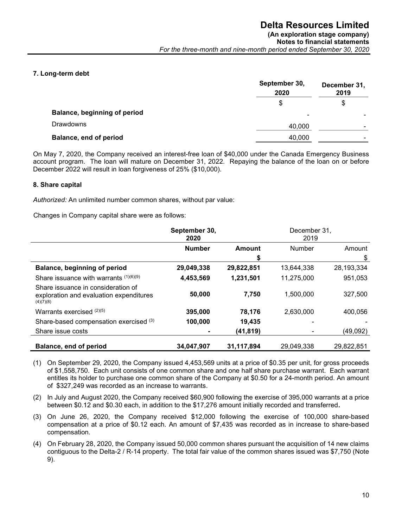# 7. Long-term debt

|                              | September 30,<br>2020 | December 31,<br>2019 |
|------------------------------|-----------------------|----------------------|
|                              | \$                    | S                    |
| Balance, beginning of period | $\blacksquare$        |                      |
| <b>Drawdowns</b>             | 40,000                | -                    |
| Balance, end of period       | 40,000                |                      |

On May 7, 2020, the Company received an interest-free loan of \$40,000 under the Canada Emergency Business account program. The loan will mature on December 31, 2022. Repaying the balance of the loan on or before December 2022 will result in loan forgiveness of 25% (\$10,000).

### 8. Share capital

Authorized: An unlimited number common shares, without par value:

Changes in Company capital share were as follows:

|                                                                                            | September 30,<br>2020 |            | December 31,<br>2019 |            |
|--------------------------------------------------------------------------------------------|-----------------------|------------|----------------------|------------|
|                                                                                            | <b>Number</b>         | Amount     | Number               | Amount     |
|                                                                                            |                       | \$         |                      | \$         |
| Balance, beginning of period                                                               | 29,049,338            | 29,822,851 | 13,644,338           | 28,193,334 |
| Share issuance with warrants $(1)(6)(9)$                                                   | 4,453,569             | 1,231,501  | 11,275,000           | 951,053    |
| Share issuance in consideration of<br>exploration and evaluation expenditures<br>(4)(7)(8) | 50,000                | 7,750      | 1,500,000            | 327,500    |
| Warrants exercised $(2)(5)$                                                                | 395,000               | 78,176     | 2.630.000            | 400.056    |
| Share-based compensation exercised (3)                                                     | 100,000               | 19,435     |                      |            |
| Share issue costs                                                                          |                       | (41, 819)  |                      | (49,092)   |
| Balance, end of period                                                                     | 34,047,907            | 31,117,894 | 29,049,338           | 29,822,851 |

(1) On September 29, 2020, the Company issued 4,453,569 units at a price of \$0.35 per unit, for gross proceeds of \$1,558,750. Each unit consists of one common share and one half share purchase warrant. Each warrant entitles its holder to purchase one common share of the Company at \$0.50 for a 24-month period. An amount of \$327,249 was recorded as an increase to warrants.

(2) In July and August 2020, the Company received \$60,900 following the exercise of 395,000 warrants at a price between \$0.12 and \$0.30 each, in addition to the \$17,276 amount initially recorded and transferred.

- (3) On June 26, 2020, the Company received \$12,000 following the exercise of 100,000 share-based compensation at a price of \$0.12 each. An amount of \$7,435 was recorded as in increase to share-based compensation.
- (4) On February 28, 2020, the Company issued 50,000 common shares pursuant the acquisition of 14 new claims contiguous to the Delta-2 / R-14 property. The total fair value of the common shares issued was \$7,750 (Note 9).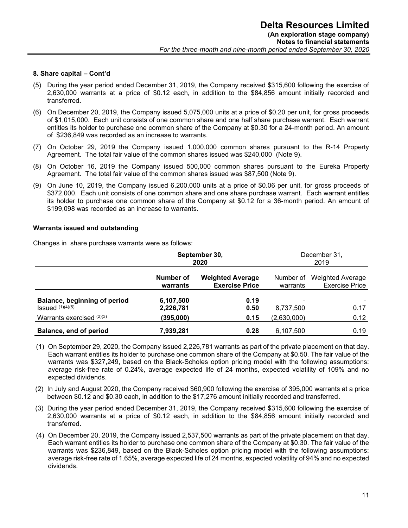- (5) During the year period ended December 31, 2019, the Company received \$315,600 following the exercise of 2,630,000 warrants at a price of \$0.12 each, in addition to the \$84,856 amount initially recorded and transferred.
- (6) On December 20, 2019, the Company issued 5,075,000 units at a price of \$0.20 per unit, for gross proceeds of \$1,015,000. Each unit consists of one common share and one half share purchase warrant. Each warrant entitles its holder to purchase one common share of the Company at \$0.30 for a 24-month period. An amount of \$236,849 was recorded as an increase to warrants.
- (7) On October 29, 2019 the Company issued 1,000,000 common shares pursuant to the R-14 Property Agreement. The total fair value of the common shares issued was \$240,000 (Note 9).
- (8) On October 16, 2019 the Company issued 500,000 common shares pursuant to the Eureka Property Agreement. The total fair value of the common shares issued was \$87,500 (Note 9).
- (9) On June 10, 2019, the Company issued 6,200,000 units at a price of \$0.06 per unit, for gross proceeds of \$372,000. Each unit consists of one common share and one share purchase warrant. Each warrant entitles its holder to purchase one common share of the Company at \$0.12 for a 36-month period. An amount of \$199,098 was recorded as an increase to warrants.

### Warrants issued and outstanding

Changes in share purchase warrants were as follows:

|                                                  | September 30,<br>2020                                                     |              |                                       | December 31,<br>2019                                |
|--------------------------------------------------|---------------------------------------------------------------------------|--------------|---------------------------------------|-----------------------------------------------------|
|                                                  | Number of<br><b>Weighted Average</b><br><b>Exercise Price</b><br>warrants |              | warrants                              | Number of Weighted Average<br><b>Exercise Price</b> |
| Balance, beginning of period<br>Issued (1)(4)(5) | 6,107,500<br>2,226,781                                                    | 0.19<br>0.50 | $\overline{\phantom{0}}$<br>8,737,500 | 0.17                                                |
| Warrants exercised $(2)(3)$                      | (395,000)                                                                 | 0.15         | (2,630,000)                           | 0.12                                                |
| Balance, end of period                           | 7,939,281                                                                 | 0.28         | 6,107,500                             | 0.19                                                |

- (1) On September 29, 2020, the Company issued 2,226,781 warrants as part of the private placement on that day. Each warrant entitles its holder to purchase one common share of the Company at \$0.50. The fair value of the warrants was \$327,249, based on the Black-Scholes option pricing model with the following assumptions: average risk-free rate of 0.24%, average expected life of 24 months, expected volatility of 109% and no expected dividends.
- (2) In July and August 2020, the Company received \$60,900 following the exercise of 395,000 warrants at a price between \$0.12 and \$0.30 each, in addition to the \$17,276 amount initially recorded and transferred.
- (3) During the year period ended December 31, 2019, the Company received \$315,600 following the exercise of 2,630,000 warrants at a price of \$0.12 each, in addition to the \$84,856 amount initially recorded and transferred.
- (4) On December 20, 2019, the Company issued 2,537,500 warrants as part of the private placement on that day. Each warrant entitles its holder to purchase one common share of the Company at \$0.30. The fair value of the warrants was \$236,849, based on the Black-Scholes option pricing model with the following assumptions: average risk-free rate of 1.65%, average expected life of 24 months, expected volatility of 94% and no expected dividends.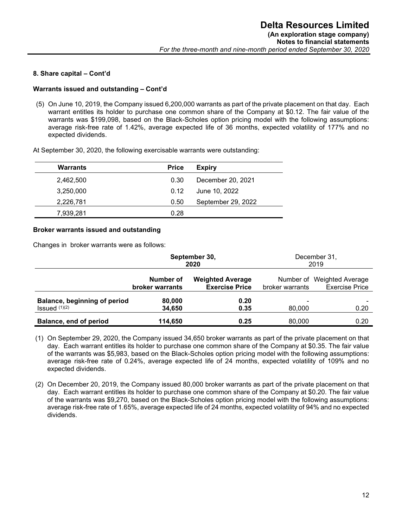#### Warrants issued and outstanding – Cont'd

(5) On June 10, 2019, the Company issued 6,200,000 warrants as part of the private placement on that day. Each warrant entitles its holder to purchase one common share of the Company at \$0.12. The fair value of the warrants was \$199,098, based on the Black-Scholes option pricing model with the following assumptions: average risk-free rate of 1.42%, average expected life of 36 months, expected volatility of 177% and no expected dividends.

At September 30, 2020, the following exercisable warrants were outstanding:

| <b>Warrants</b> | <b>Price</b> | <b>Expiry</b>      |
|-----------------|--------------|--------------------|
| 2,462,500       | 0.30         | December 20, 2021  |
| 3,250,000       | 0.12         | June 10, 2022      |
| 2,226,781       | 0.50         | September 29, 2022 |
| 7,939,281       | 0.28         |                    |

### Broker warrants issued and outstanding

Changes in broker warrants were as follows:

|                                     | September 30,<br>2020        |                                                                     | December 31,<br>2019 |                                                     |  |
|-------------------------------------|------------------------------|---------------------------------------------------------------------|----------------------|-----------------------------------------------------|--|
|                                     | Number of<br>broker warrants | <b>Weighted Average</b><br><b>Exercise Price</b><br>broker warrants |                      | Number of Weighted Average<br><b>Exercise Price</b> |  |
| <b>Balance, beginning of period</b> | 80,000                       | 0.20                                                                |                      |                                                     |  |
| $Issued$ $(1)(2)$                   | 34,650                       | 0.35                                                                | 80,000               | 0.20                                                |  |
| Balance, end of period              | 114,650                      | 0.25                                                                | 80,000               | 0.20                                                |  |

(1) On September 29, 2020, the Company issued 34,650 broker warrants as part of the private placement on that day. Each warrant entitles its holder to purchase one common share of the Company at \$0.35. The fair value of the warrants was \$5,983, based on the Black-Scholes option pricing model with the following assumptions: average risk-free rate of 0.24%, average expected life of 24 months, expected volatility of 109% and no expected dividends.

(2) On December 20, 2019, the Company issued 80,000 broker warrants as part of the private placement on that day. Each warrant entitles its holder to purchase one common share of the Company at \$0.20. The fair value of the warrants was \$9,270, based on the Black-Scholes option pricing model with the following assumptions: average risk-free rate of 1.65%, average expected life of 24 months, expected volatility of 94% and no expected dividends.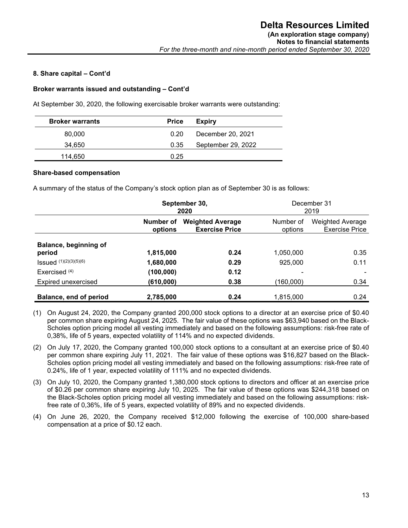#### Broker warrants issued and outstanding – Cont'd

At September 30, 2020, the following exercisable broker warrants were outstanding:

| <b>Broker warrants</b> | <b>Price</b> | <b>Expiry</b>      |
|------------------------|--------------|--------------------|
| 80,000                 | 0.20         | December 20, 2021  |
| 34.650                 | 0.35         | September 29, 2022 |
| 114.650                | 0.25         |                    |

#### Share-based compensation

A summary of the status of the Company's stock option plan as of September 30 is as follows:

|                                 | September 30,<br>2020 |                                                  | December 31<br>2019  |                                           |
|---------------------------------|-----------------------|--------------------------------------------------|----------------------|-------------------------------------------|
|                                 | Number of<br>options  | <b>Weighted Average</b><br><b>Exercise Price</b> | Number of<br>options | <b>Weighted Average</b><br>Exercise Price |
| Balance, beginning of<br>period | 1,815,000             | 0.24                                             | 1,050,000            | 0.35                                      |
| Issued (1)(2)(3)(5)(6)          | 1,680,000             | 0.29                                             | 925,000              | 0.11                                      |
| Exercised $(4)$                 | (100, 000)            | 0.12                                             |                      |                                           |
| Expired unexercised             | (610, 000)            | 0.38                                             | (160,000)            | 0.34                                      |
| Balance, end of period          | 2,785,000             | 0.24                                             | 1,815,000            | 0.24                                      |

- (1) On August 24, 2020, the Company granted 200,000 stock options to a director at an exercise price of \$0.40 per common share expiring August 24, 2025. The fair value of these options was \$63,940 based on the Black-Scholes option pricing model all vesting immediately and based on the following assumptions: risk-free rate of 0,38%, life of 5 years, expected volatility of 114% and no expected dividends.
- (2) On July 17, 2020, the Company granted 100,000 stock options to a consultant at an exercise price of \$0.40 per common share expiring July 11, 2021. The fair value of these options was \$16,827 based on the Black-Scholes option pricing model all vesting immediately and based on the following assumptions: risk-free rate of 0.24%, life of 1 year, expected volatility of 111% and no expected dividends.
- (3) On July 10, 2020, the Company granted 1,380,000 stock options to directors and officer at an exercise price of \$0.26 per common share expiring July 10, 2025. The fair value of these options was \$244,318 based on the Black-Scholes option pricing model all vesting immediately and based on the following assumptions: riskfree rate of 0,36%, life of 5 years, expected volatility of 89% and no expected dividends.
- (4) On June 26, 2020, the Company received \$12,000 following the exercise of 100,000 share-based compensation at a price of \$0.12 each.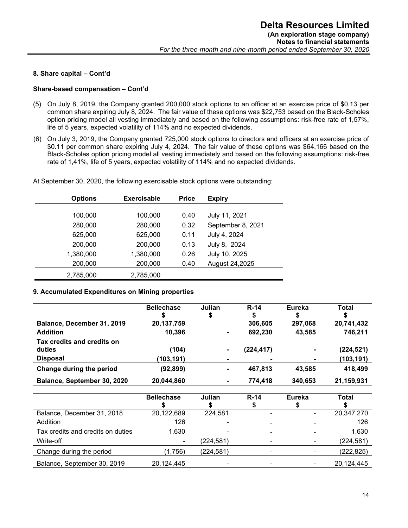#### Share-based compensation – Cont'd

- (5) On July 8, 2019, the Company granted 200,000 stock options to an officer at an exercise price of \$0.13 per common share expiring July 8, 2024. The fair value of these options was \$22,753 based on the Black-Scholes option pricing model all vesting immediately and based on the following assumptions: risk-free rate of 1,57%, life of 5 years, expected volatility of 114% and no expected dividends.
- (6) On July 3, 2019, the Company granted 725,000 stock options to directors and officers at an exercise price of \$0.11 per common share expiring July 4, 2024. The fair value of these options was \$64,166 based on the Black-Scholes option pricing model all vesting immediately and based on the following assumptions: risk-free rate of 1,41%, life of 5 years, expected volatility of 114% and no expected dividends.

|  |  |  | At September 30, 2020, the following exercisable stock options were outstanding: |
|--|--|--|----------------------------------------------------------------------------------|
|  |  |  |                                                                                  |

| <b>Options</b> | <b>Exercisable</b> | <b>Price</b> | <b>Expiry</b>     |
|----------------|--------------------|--------------|-------------------|
|                |                    |              |                   |
| 100,000        | 100,000            | 0.40         | July 11, 2021     |
| 280,000        | 280,000            | 0.32         | September 8, 2021 |
| 625,000        | 625,000            | 0.11         | July 4, 2024      |
| 200,000        | 200,000            | 0.13         | July 8, 2024      |
| 1,380,000      | 1,380,000          | 0.26         | July 10, 2025     |
| 200,000        | 200,000            | 0.40         | August 24,2025    |
| 2,785,000      | 2,785,000          |              |                   |

#### 9. Accumulated Expenditures on Mining properties

|                                      | <b>Bellechase</b> | Julian         | $R-14$    | <b>Eureka</b>  | Total      |
|--------------------------------------|-------------------|----------------|-----------|----------------|------------|
| Balance, December 31, 2019           | 20,137,759        |                | 306,605   | 297.068        | 20,741,432 |
| <b>Addition</b>                      | 10.396            | $\blacksquare$ | 692,230   | 43.585         | 746,211    |
| Tax credits and credits on<br>duties | (104)             |                | (224,417) | ۰              | (224, 521) |
| <b>Disposal</b>                      | (103, 191)        |                |           | $\blacksquare$ | (103, 191) |
| Change during the period             | (92,899)          | $\blacksquare$ | 467,813   | 43.585         | 418,499    |
| Balance, September 30, 2020          | 20,044,860        | $\blacksquare$ | 774.418   | 340,653        | 21,159,931 |

|                                   | <b>Bellechase</b>        | Julian    | <b>R-14</b>              | Eureka | Total      |
|-----------------------------------|--------------------------|-----------|--------------------------|--------|------------|
| Balance, December 31, 2018        | 20,122,689               | 224,581   | $\blacksquare$           | ٠      | 20,347,270 |
| Addition                          | 126                      |           |                          |        | 126        |
| Tax credits and credits on duties | 1,630                    |           | $\overline{\phantom{0}}$ |        | 1,630      |
| Write-off                         | $\overline{\phantom{0}}$ | (224,581) | ۰                        |        | (224, 581) |
| Change during the period          | (1,756)                  | (224,581) | ٠                        |        | (222, 825) |
| Balance, September 30, 2019       | 20,124,445               |           | -                        |        | 20,124,445 |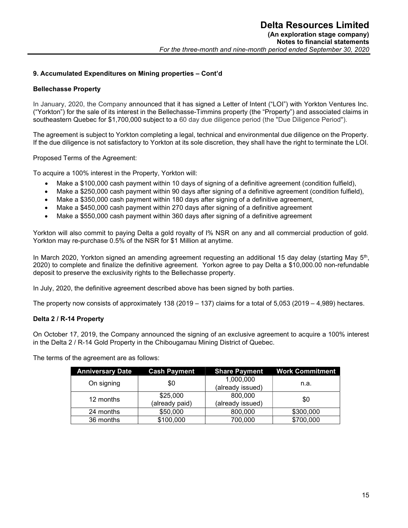# 9. Accumulated Expenditures on Mining properties – Cont'd

### Bellechasse Property

In January, 2020, the Company announced that it has signed a Letter of Intent ("LOI") with Yorkton Ventures Inc. ("Yorkton") for the sale of its interest in the Bellechasse-Timmins property (the "Property") and associated claims in southeastern Quebec for \$1,700,000 subject to a 60 day due diligence period (the "Due Diligence Period").

The agreement is subject to Yorkton completing a legal, technical and environmental due diligence on the Property. If the due diligence is not satisfactory to Yorkton at its sole discretion, they shall have the right to terminate the LOI.

Proposed Terms of the Agreement:

To acquire a 100% interest in the Property, Yorkton will:

- Make a \$100,000 cash payment within 10 days of signing of a definitive agreement (condition fulfield),
- Make a \$250,000 cash payment within 90 days after signing of a definitive agreement (condition fulfield),
- Make a \$350,000 cash payment within 180 days after signing of a definitive agreement,
- Make a \$450,000 cash payment within 270 days after signing of a definitive agreement
- Make a \$550,000 cash payment within 360 days after signing of a definitive agreement

Yorkton will also commit to paying Delta a gold royalty of I% NSR on any and all commercial production of gold. Yorkton may re-purchase 0.5% of the NSR for \$1 Million at anytime.

In March 2020, Yorkton signed an amending agreement requesting an additional 15 day delay (starting May 5<sup>th</sup>, 2020) to complete and finalize the definitive agreement. Yorkon agree to pay Delta a \$10,000.00 non-refundable deposit to preserve the exclusivity rights to the Bellechasse property.

In July, 2020, the definitive agreement described above has been signed by both parties.

The property now consists of approximately 138 (2019 – 137) claims for a total of 5,053 (2019 – 4,989) hectares.

# Delta 2 / R-14 Property

On October 17, 2019, the Company announced the signing of an exclusive agreement to acquire a 100% interest in the Delta 2 / R-14 Gold Property in the Chibougamau Mining District of Quebec.

The terms of the agreement are as follows:

| <b>Anniversary Date</b> | <b>Cash Payment</b> | <b>Share Payment</b> | <b>Work Commitment</b> |
|-------------------------|---------------------|----------------------|------------------------|
| On signing              | \$0                 | 1,000,000            | n.a.                   |
|                         |                     | (already issued)     |                        |
| 12 months               | \$25,000            | 800,000              | \$0                    |
|                         | (already paid)      | (already issued)     |                        |
| 24 months               | \$50,000            | 800,000              | \$300,000              |
| 36 months               | \$100,000           | 700,000              | \$700,000              |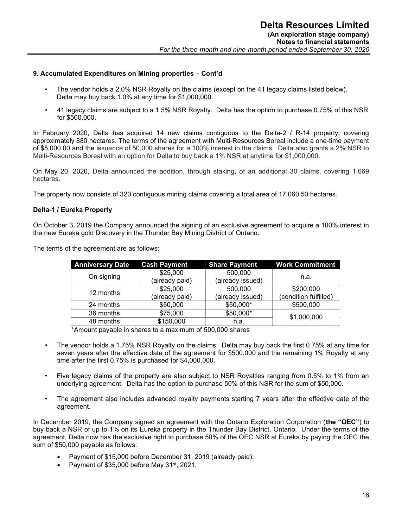### 9. Accumulated Expenditures on Mining properties – Cont'd

- The vendor holds a 2.0% NSR Royalty on the claims (except on the 41 legacy claims listed below). Delta may buy back 1.0% at any time for \$1,000,000.
- 41 legacy claims are subject to a 1.5% NSR Royalty. Delta has the option to purchase 0.75% of this NSR for \$500,000.

In February 2020, Delta has acquired 14 new claims contiguous to the Delta-2 / R-14 property, covering approximately 880 hectares. The terms of the agreement with Multi-Resources Boreal include a one-time payment of \$5,000.00 and the issuance of 50,000 shares for a 100% interest in the claims. Delta also grants a 2% NSR to Multi-Resources Boreal with an option for Delta to buy back a 1% NSR at anytime for \$1,000,000.

On May 20, 2020, Delta announced the addition, through staking, of an additional 30 claims, covering 1,669 hectares.

The property now consists of 320 contiguous mining claims covering a total area of 17,060.50 hectares.

#### Delta-1 / Eureka Property

On October 3, 2019 the Company announced the signing of an exclusive agreement to acquire a 100% interest in the new Eureka gold Discovery in the Thunder Bay Mining District of Ontario.

| <b>Anniversary Date</b> | <b>Cash Payment</b> | <b>Share Payment</b> | <b>Work Commitment</b> |
|-------------------------|---------------------|----------------------|------------------------|
| On signing              | \$25,000            | 500,000              |                        |
|                         | (already paid)      | (already issued)     | n.a.                   |
|                         | \$25,000            | 500,000              | \$200,000              |
| 12 months               | (already paid)      | (already issued)     | (condition fulfilled)  |
| 24 months               | \$50,000            | \$50,000*            | \$500,000              |
| 36 months               | \$75,000            | \$50,000*            | \$1,000,000            |
| 48 months               | \$150,000           | n.a.                 |                        |

The terms of the agreement are as follows:

\*Amount payable in shares to a maximum of 500,000 shares

- The vendor holds a 1.75% NSR Royalty on the claims. Delta may buy back the first 0.75% at any time for seven years after the effective date of the agreement for \$500,000 and the remaining 1% Royalty at any time after the first 0.75% is purchased for \$4,000,000.
- Five legacy claims of the property are also subject to NSR Royalties ranging from 0.5% to 1% from an underlying agreement. Delta has the option to purchase 50% of this NSR for the sum of \$50,000.
- The agreement also includes advanced royalty payments starting 7 years after the effective date of the agreement.

In December 2019, the Company signed an agreement with the Ontario Exploration Corporation (the "OEC") to buy back a NSR of up to 1% on its Eureka property in the Thunder Bay District, Ontario. Under the terms of the agreement, Delta now has the exclusive right to purchase 50% of the OEC NSR at Eureka by paying the OEC the sum of \$50,000 payable as follows:

- Payment of \$15,000 before December 31, 2019 (already paid);
- Payment of \$35,000 before May 31<sup>st</sup>, 2021.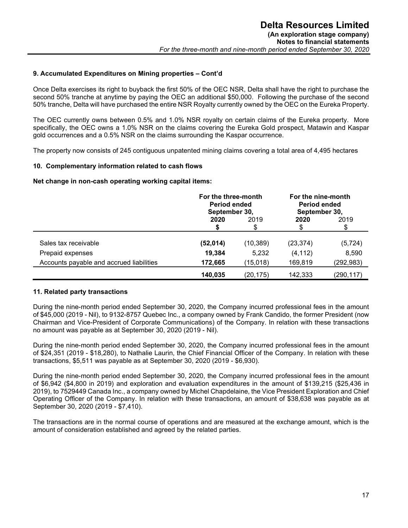### 9. Accumulated Expenditures on Mining properties – Cont'd

Once Delta exercises its right to buyback the first 50% of the OEC NSR, Delta shall have the right to purchase the second 50% tranche at anytime by paying the OEC an additional \$50,000. Following the purchase of the second 50% tranche, Delta will have purchased the entire NSR Royalty currently owned by the OEC on the Eureka Property.

The OEC currently owns between 0.5% and 1.0% NSR royalty on certain claims of the Eureka property. More specifically, the OEC owns a 1.0% NSR on the claims covering the Eureka Gold prospect, Matawin and Kaspar gold occurrences and a 0.5% NSR on the claims surrounding the Kaspar occurrence.

The property now consists of 245 contiguous unpatented mining claims covering a total area of 4,495 hectares

#### 10. Complementary information related to cash flows

Net change in non-cash operating working capital items:

|                                          | For the three-month<br><b>Period ended</b><br>September 30, |            | For the nine-month<br>Period ended<br>September 30, |            |
|------------------------------------------|-------------------------------------------------------------|------------|-----------------------------------------------------|------------|
|                                          | 2020                                                        | 2019<br>\$ | 2020<br>\$                                          | 2019<br>\$ |
| Sales tax receivable                     | (52, 014)                                                   | (10, 389)  | (23, 374)                                           | (5, 724)   |
| Prepaid expenses                         | 19,384                                                      | 5,232      | (4, 112)                                            | 8,590      |
| Accounts payable and accrued liabilities | 172,665                                                     | (15,018)   | 169,819                                             | (292, 983) |
|                                          | 140,035                                                     | (20, 175)  | 142,333                                             | (290,117)  |

#### 11. Related party transactions

During the nine-month period ended September 30, 2020, the Company incurred professional fees in the amount of \$45,000 (2019 - Nil), to 9132-8757 Quebec Inc., a company owned by Frank Candido, the former President (now Chairman and Vice-President of Corporate Communications) of the Company. In relation with these transactions no amount was payable as at September 30, 2020 (2019 - Nil).

During the nine-month period ended September 30, 2020, the Company incurred professional fees in the amount of \$24,351 (2019 - \$18,280), to Nathalie Laurin, the Chief Financial Officer of the Company. In relation with these transactions, \$5,511 was payable as at September 30, 2020 (2019 - \$6,930).

During the nine-month period ended September 30, 2020, the Company incurred professional fees in the amount of \$6,942 (\$4,800 in 2019) and exploration and evaluation expenditures in the amount of \$139,215 (\$25,436 in 2019), to 7529449 Canada Inc., a company owned by Michel Chapdelaine, the Vice President Exploration and Chief Operating Officer of the Company. In relation with these transactions, an amount of \$38,638 was payable as at September 30, 2020 (2019 - \$7,410).

The transactions are in the normal course of operations and are measured at the exchange amount, which is the amount of consideration established and agreed by the related parties.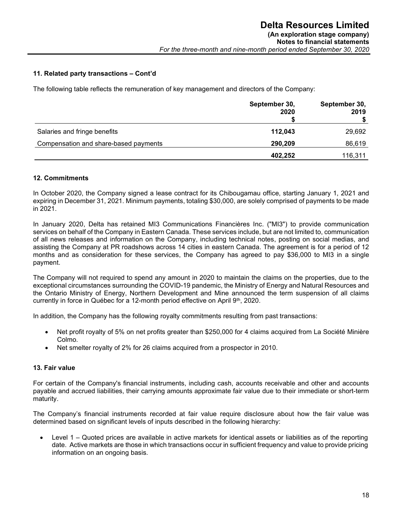### 11. Related party transactions – Cont'd

The following table reflects the remuneration of key management and directors of the Company:

|                                       | September 30,<br>2020 | September 30,<br>2019 |
|---------------------------------------|-----------------------|-----------------------|
| Salaries and fringe benefits          | 112,043               | 29,692                |
| Compensation and share-based payments | 290,209               | 86,619                |
|                                       | 402.252               | 116,311               |

### 12. Commitments

In October 2020, the Company signed a lease contract for its Chibougamau office, starting January 1, 2021 and expiring in December 31, 2021. Minimum payments, totaling \$30,000, are solely comprised of payments to be made in 2021.

In January 2020, Delta has retained MI3 Communications Financières Inc. ("MI3") to provide communication services on behalf of the Company in Eastern Canada. These services include, but are not limited to, communication of all news releases and information on the Company, including technical notes, posting on social medias, and assisting the Company at PR roadshows across 14 cities in eastern Canada. The agreement is for a period of 12 months and as consideration for these services, the Company has agreed to pay \$36,000 to MI3 in a single payment.

The Company will not required to spend any amount in 2020 to maintain the claims on the properties, due to the exceptional circumstances surrounding the COVID-19 pandemic, the Ministry of Energy and Natural Resources and the Ontario Ministry of Energy, Northern Development and Mine announced the term suspension of all claims currently in force in Québec for a 12-month period effective on April 9th, 2020.

In addition, the Company has the following royalty commitments resulting from past transactions:

- Net profit royalty of 5% on net profits greater than \$250,000 for 4 claims acquired from La Société Minière Colmo.
- Net smelter royalty of 2% for 26 claims acquired from a prospector in 2010.

#### 13. Fair value

For certain of the Company's financial instruments, including cash, accounts receivable and other and accounts payable and accrued liabilities, their carrying amounts approximate fair value due to their immediate or short-term maturity.

The Company's financial instruments recorded at fair value require disclosure about how the fair value was determined based on significant levels of inputs described in the following hierarchy:

 Level 1 – Quoted prices are available in active markets for identical assets or liabilities as of the reporting date. Active markets are those in which transactions occur in sufficient frequency and value to provide pricing information on an ongoing basis.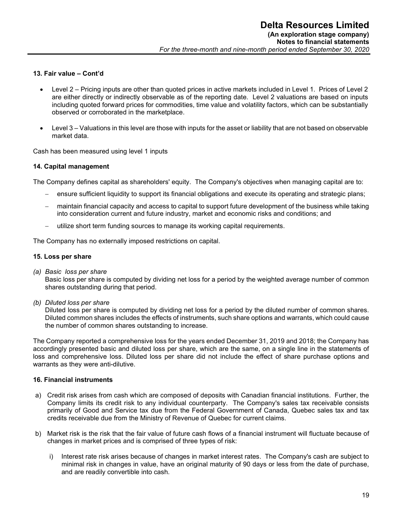### 13. Fair value – Cont'd

- Level 2 Pricing inputs are other than quoted prices in active markets included in Level 1. Prices of Level 2 are either directly or indirectly observable as of the reporting date. Level 2 valuations are based on inputs including quoted forward prices for commodities, time value and volatility factors, which can be substantially observed or corroborated in the marketplace.
- Level 3 Valuations in this level are those with inputs for the asset or liability that are not based on observable market data.

Cash has been measured using level 1 inputs

### 14. Capital management

The Company defines capital as shareholders' equity. The Company's objectives when managing capital are to:

- ensure sufficient liquidity to support its financial obligations and execute its operating and strategic plans;
- maintain financial capacity and access to capital to support future development of the business while taking into consideration current and future industry, market and economic risks and conditions; and
- utilize short term funding sources to manage its working capital requirements.

The Company has no externally imposed restrictions on capital.

#### 15. Loss per share

(a) Basic loss per share

Basic loss per share is computed by dividing net loss for a period by the weighted average number of common shares outstanding during that period.

(b) Diluted loss per share

Diluted loss per share is computed by dividing net loss for a period by the diluted number of common shares. Diluted common shares includes the effects of instruments, such share options and warrants, which could cause the number of common shares outstanding to increase.

The Company reported a comprehensive loss for the years ended December 31, 2019 and 2018; the Company has accordingly presented basic and diluted loss per share, which are the same, on a single line in the statements of loss and comprehensive loss. Diluted loss per share did not include the effect of share purchase options and warrants as they were anti-dilutive.

#### 16. Financial instruments

- a) Credit risk arises from cash which are composed of deposits with Canadian financial institutions. Further, the Company limits its credit risk to any individual counterparty. The Company's sales tax receivable consists primarily of Good and Service tax due from the Federal Government of Canada, Quebec sales tax and tax credits receivable due from the Ministry of Revenue of Quebec for current claims.
- b) Market risk is the risk that the fair value of future cash flows of a financial instrument will fluctuate because of changes in market prices and is comprised of three types of risk:
	- i) Interest rate risk arises because of changes in market interest rates. The Company's cash are subject to minimal risk in changes in value, have an original maturity of 90 days or less from the date of purchase, and are readily convertible into cash.